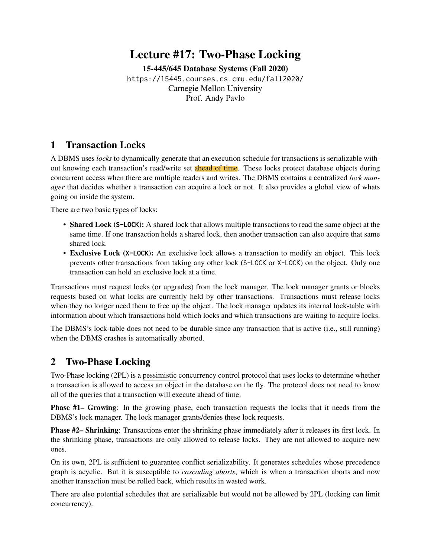# Lecture #17: Two-Phase Locking

[15-445/645 Database Systems \(Fall 2020\)](https://15445.courses.cs.cmu.edu/fall2020/) <https://15445.courses.cs.cmu.edu/fall2020/> Carnegie Mellon University [Prof. Andy Pavlo](http://www.cs.cmu.edu/~pavlo/)

### 1 Transaction Locks

A DBMS uses *locks* to dynamically generate that an execution schedule for transactions is serializable without knowing each transaction's read/write set **ahead of time**. These locks protect database objects during concurrent access when there are multiple readers and writes. The DBMS contains a centralized *lock manager* that decides whether a transaction can acquire a lock or not. It also provides a global view of whats going on inside the system.

There are two basic types of locks:

- Shared Lock (**S-LOCK**): A shared lock that allows multiple transactions to read the same object at the same time. If one transaction holds a shared lock, then another transaction can also acquire that same shared lock.
- Exclusive Lock (**X-LOCK**): An exclusive lock allows a transaction to modify an object. This lock prevents other transactions from taking any other lock (S-LOCK or X-LOCK) on the object. Only one transaction can hold an exclusive lock at a time.

Transactions must request locks (or upgrades) from the lock manager. The lock manager grants or blocks requests based on what locks are currently held by other transactions. Transactions must release locks when they no longer need them to free up the object. The lock manager updates its internal lock-table with information about which transactions hold which locks and which transactions are waiting to acquire locks.

The DBMS's lock-table does not need to be durable since any transaction that is active (i.e., still running) when the DBMS crashes is automatically aborted.

#### 2 Two-Phase Locking

Two-Phase locking (2PL) is a pessimistic concurrency control protocol that uses locks to determine whether a transaction is allowed to access an object in the database on the fly. The protocol does not need to know all of the queries that a transaction will execute ahead of time.

**Phase #1– Growing:** In the growing phase, each transaction requests the locks that it needs from the DBMS's lock manager. The lock manager grants/denies these lock requests.

Phase #2– Shrinking: Transactions enter the shrinking phase immediately after it releases its first lock. In the shrinking phase, transactions are only allowed to release locks. They are not allowed to acquire new ones.

On its own, 2PL is sufficient to guarantee conflict serializability. It generates schedules whose precedence graph is acyclic. But it is susceptible to *cascading aborts*, which is when a transaction aborts and now another transaction must be rolled back, which results in wasted work.

There are also potential schedules that are serializable but would not be allowed by 2PL (locking can limit concurrency).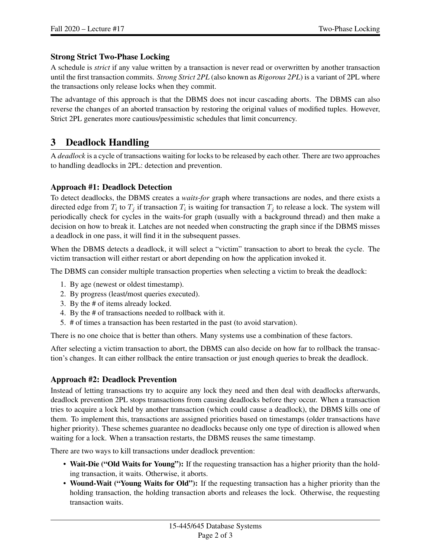#### Strong Strict Two-Phase Locking

A schedule is *strict* if any value written by a transaction is never read or overwritten by another transaction until the first transaction commits. *Strong Strict 2PL* (also known as *Rigorous 2PL*) is a variant of 2PL where the transactions only release locks when they commit.

The advantage of this approach is that the DBMS does not incur cascading aborts. The DBMS can also reverse the changes of an aborted transaction by restoring the original values of modified tuples. However, Strict 2PL generates more cautious/pessimistic schedules that limit concurrency.

### 3 Deadlock Handling

A *deadlock* is a cycle of transactions waiting for locks to be released by each other. There are two approaches to handling deadlocks in 2PL: detection and prevention.

#### Approach #1: Deadlock Detection

To detect deadlocks, the DBMS creates a *waits-for* graph where transactions are nodes, and there exists a directed edge from  $T_i$  to  $T_j$  if transaction  $T_i$  is waiting for transaction  $T_j$  to release a lock. The system will periodically check for cycles in the waits-for graph (usually with a background thread) and then make a decision on how to break it. Latches are not needed when constructing the graph since if the DBMS misses a deadlock in one pass, it will find it in the subsequent passes.

When the DBMS detects a deadlock, it will select a "victim" transaction to abort to break the cycle. The victim transaction will either restart or abort depending on how the application invoked it.

The DBMS can consider multiple transaction properties when selecting a victim to break the deadlock:

- 1. By age (newest or oldest timestamp).
- 2. By progress (least/most queries executed).
- 3. By the # of items already locked.
- 4. By the # of transactions needed to rollback with it.
- 5. # of times a transaction has been restarted in the past (to avoid starvation).

There is no one choice that is better than others. Many systems use a combination of these factors.

After selecting a victim transaction to abort, the DBMS can also decide on how far to rollback the transaction's changes. It can either rollback the entire transaction or just enough queries to break the deadlock.

#### Approach #2: Deadlock Prevention

Instead of letting transactions try to acquire any lock they need and then deal with deadlocks afterwards, deadlock prevention 2PL stops transactions from causing deadlocks before they occur. When a transaction tries to acquire a lock held by another transaction (which could cause a deadlock), the DBMS kills one of them. To implement this, transactions are assigned priorities based on timestamps (older transactions have higher priority). These schemes guarantee no deadlocks because only one type of direction is allowed when waiting for a lock. When a transaction restarts, the DBMS reuses the same timestamp.

There are two ways to kill transactions under deadlock prevention:

- Wait-Die ("Old Waits for Young"): If the requesting transaction has a higher priority than the holding transaction, it waits. Otherwise, it aborts.
- Wound-Wait ("Young Waits for Old"): If the requesting transaction has a higher priority than the holding transaction, the holding transaction aborts and releases the lock. Otherwise, the requesting transaction waits.